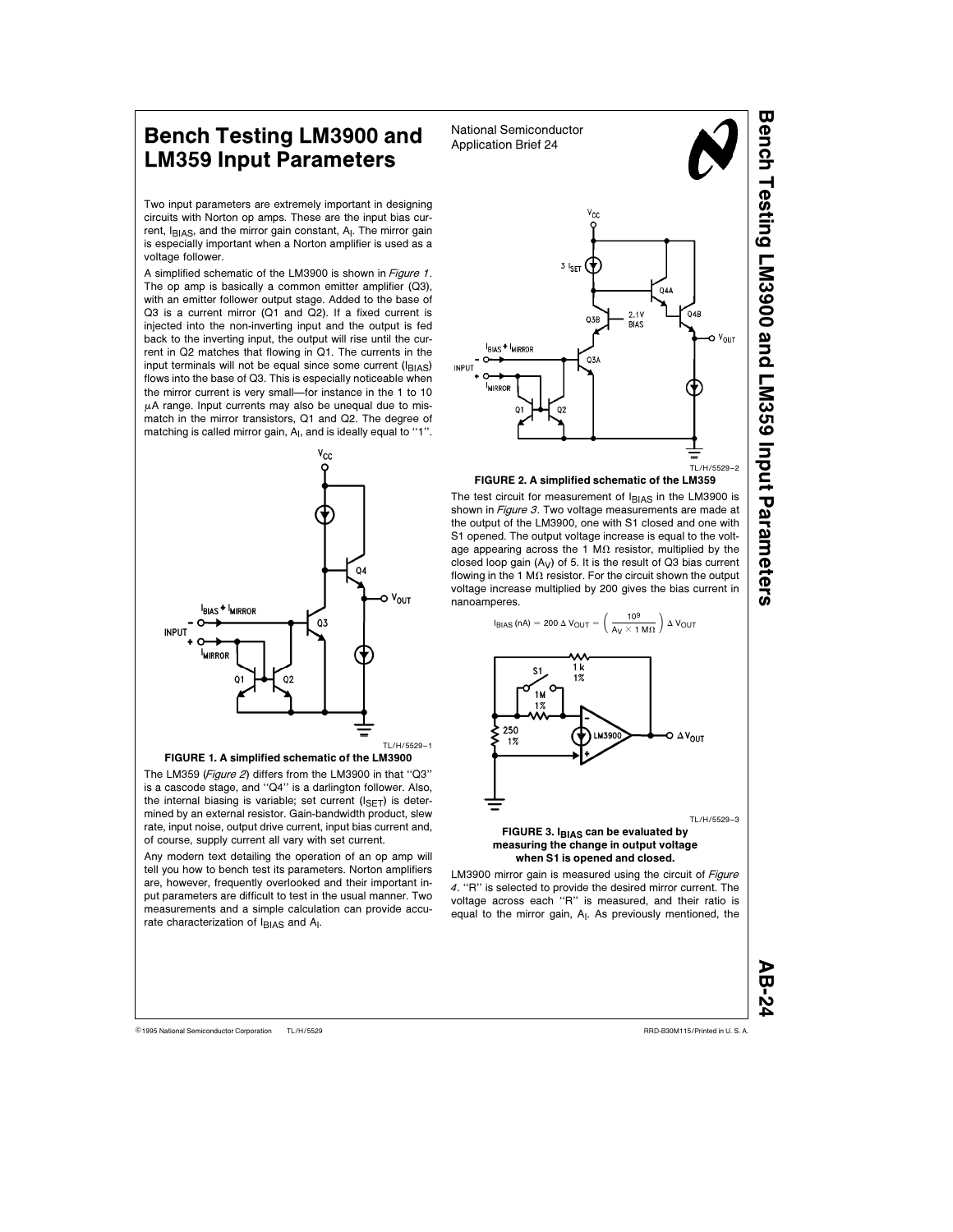## Bench Testing LM3900 and National Semiconductor LM359 Input Parameters

Two input parameters are extremely important in designing circuits with Norton op amps. These are the input bias current,  $I_{B|AS}$ , and the mirror gain constant,  $A<sub>l</sub>$ . The mirror gain is especially important when a Norton amplifier is used as a voltage follower.

A simplified schematic of the LM3900 is shown in Figure <sup>1</sup>. The op amp is basically a common emitter amplifier (Q3), with an emitter follower output stage. Added to the base of Q3 is a current mirror (Q1 and Q2). If a fixed current is injected into the non-inverting input and the output is fed back to the inverting input, the output will rise until the current in Q2 matches that flowing in Q1. The currents in the input terminals will not be equal since some current  $(I<sub>BIAS</sub>)$ flows into the base of Q3. This is especially noticeable when the mirror current is very small—for instance in the 1 to 10  $\mu$ A range. Input currents may also be unequal due to mismatch in the mirror transistors, Q1 and Q2. The degree of matching is called mirror gain, A<sub>I</sub>, and is ideally equal to "1".





The LM359 (Figure 2) differs from the LM3900 in that "Q3" is a cascode stage, and ''Q4'' is a darlington follower. Also, the internal biasing is variable; set current  $(I_{\text{SET}})$  is determined by an external resistor. Gain-bandwidth product, slew rate, input noise, output drive current, input bias current and, of course, supply current all vary with set current.

Any modern text detailing the operation of an op amp will tell you how to bench test its parameters. Norton amplifiers are, however, frequently overlooked and their important input parameters are difficult to test in the usual manner. Two measurements and a simple calculation can provide accurate characterization of IBIAS and A<sub>I</sub>.



The test circuit for measurement of  $I_{B|AS}$  in the LM3900 is shown in Figure 3. Two voltage measurements are made at the output of the LM3900, one with S1 closed and one with S1 opened. The output voltage increase is equal to the voltage appearing across the 1 M $\Omega$  resistor, multiplied by the closed loop gain  $(A_V)$  of 5. It is the result of Q3 bias current flowing in the 1 M $\Omega$  resistor. For the circuit shown the output voltage increase multiplied by 200 gives the bias current in nanoamperes.



## FIGURE 3. IBIAS can be evaluated by measuring the change in output voltage when S1 is opened and closed.

LM3900 mirror gain is measured using the circuit of Figure <sup>4</sup>. ''R'' is selected to provide the desired mirror current. The voltage across each ''R'' is measured, and their ratio is equal to the mirror gain, A<sub>I</sub>. As previously mentioned, the

AB-2

Bench Testing LM3900 and LM359 Input

Parameters

TL/H/5529 C1995 National Semiconductor Corporation TL/H/5529 Text Corporation CH/H/5529 Text Corporation CH/H/5529 CORPORATION CORPORATION CORPORATION CORPORATION CORPORATION CONTENTS OF CORPORATION CORPORATION CORPORATION CORPORATI